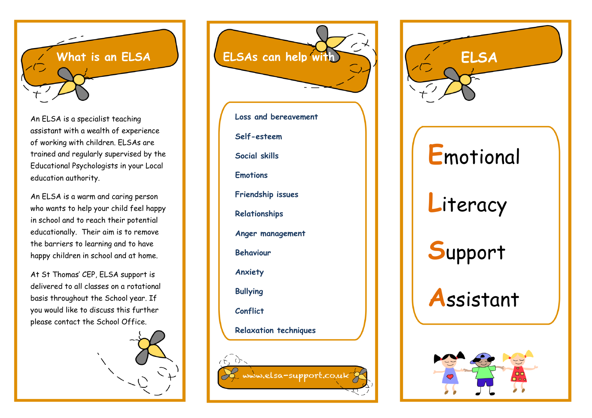

An ELSA is a specialist teaching assistant with a wealth of experience of working with children. ELSAs are trained and regularly supervised by the Educational Psychologists in your Local education authority.

An ELSA is a warm and caring person who wants to help your child feel happy in school and to reach their potential educationally. Their aim is to remove the barriers to learning and to have happy children in school and at home.

At St Thomas' CEP, ELSA support is delivered to all classes on a rotational basis throughout the School year. If you would like to discuss this further please contact the School Office.



**What is an ELSA ELSAs can help with ELSA**

**Loss and bereavement Self -esteem Social skills Emotions Friendship issues Relationships Anger management Behaviour Anxiety Bullying Conflict Relaxation techniques**

www.elsa-support.co.uk



**A**ssistant